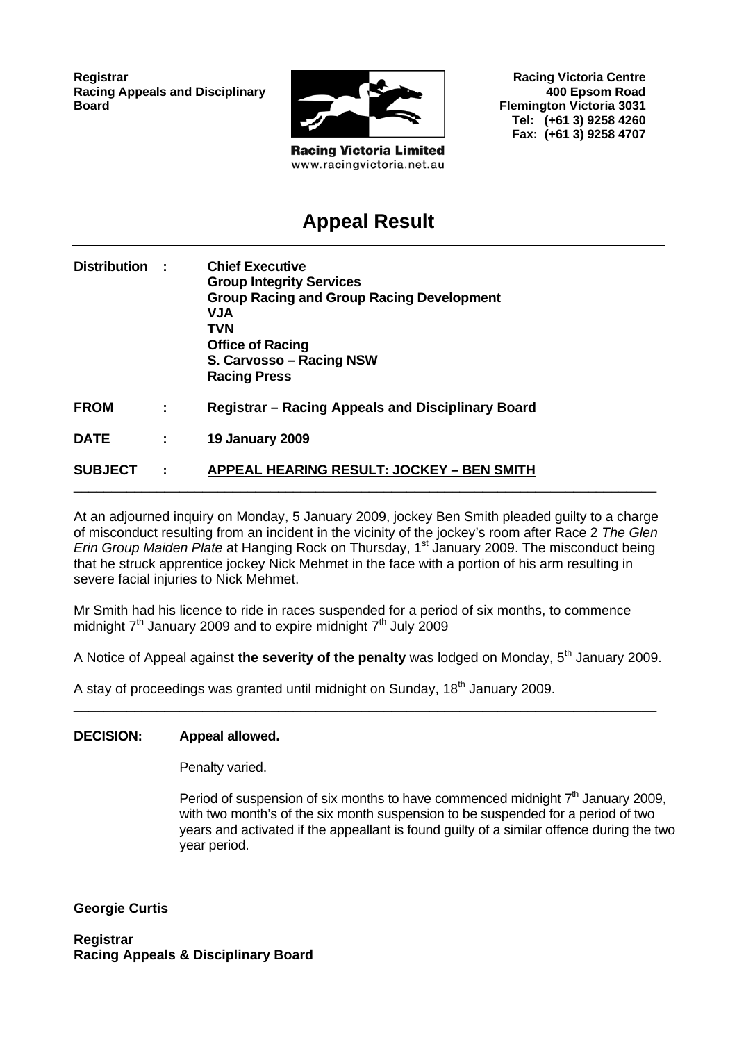**Registrar Racing Appeals and Disciplinary Board**



**Racing Victoria Limited** www.racingvictoria.net.au

**Racing Victoria Centre 400 Epsom Road Flemington Victoria 3031 Tel: (+61 3) 9258 4260 Fax: (+61 3) 9258 4707**

## **Appeal Result**

| Distribution : |              | <b>Chief Executive</b><br><b>Group Integrity Services</b><br><b>Group Racing and Group Racing Development</b><br><b>NUV</b><br><b>TVN</b><br><b>Office of Racing</b><br>S. Carvosso - Racing NSW<br><b>Racing Press</b> |
|----------------|--------------|-------------------------------------------------------------------------------------------------------------------------------------------------------------------------------------------------------------------------|
| <b>FROM</b>    | ÷            | Registrar – Racing Appeals and Disciplinary Board                                                                                                                                                                       |
| <b>DATE</b>    | ÷.           | <b>19 January 2009</b>                                                                                                                                                                                                  |
| <b>SUBJECT</b> | $\mathbf{L}$ | <b>APPEAL HEARING RESULT: JOCKEY - BEN SMITH</b>                                                                                                                                                                        |

At an adjourned inquiry on Monday, 5 January 2009, jockey Ben Smith pleaded guilty to a charge of misconduct resulting from an incident in the vicinity of the jockey's room after Race 2 *The Glen Erin Group Maiden Plate* at Hanging Rock on Thursday, 1<sup>st</sup> January 2009. The misconduct being that he struck apprentice jockey Nick Mehmet in the face with a portion of his arm resulting in severe facial injuries to Nick Mehmet.

Mr Smith had his licence to ride in races suspended for a period of six months, to commence midnight  $7<sup>th</sup>$  January 2009 and to expire midnight  $7<sup>th</sup>$  July 2009

A Notice of Appeal against **the severity of the penalty** was lodged on Monday, 5<sup>th</sup> January 2009.

\_\_\_\_\_\_\_\_\_\_\_\_\_\_\_\_\_\_\_\_\_\_\_\_\_\_\_\_\_\_\_\_\_\_\_\_\_\_\_\_\_\_\_\_\_\_\_\_\_\_\_\_\_\_\_\_\_\_\_\_\_\_\_\_\_\_\_\_\_\_\_\_\_\_\_\_\_

A stay of proceedings was granted until midnight on Sunday,  $18<sup>th</sup>$  January 2009.

#### **DECISION: Appeal allowed.**

Penalty varied.

Period of suspension of six months to have commenced midnight  $7<sup>th</sup>$  January 2009, with two month's of the six month suspension to be suspended for a period of two years and activated if the appeallant is found guilty of a similar offence during the two year period.

**Georgie Curtis** 

**Registrar Racing Appeals & Disciplinary Board**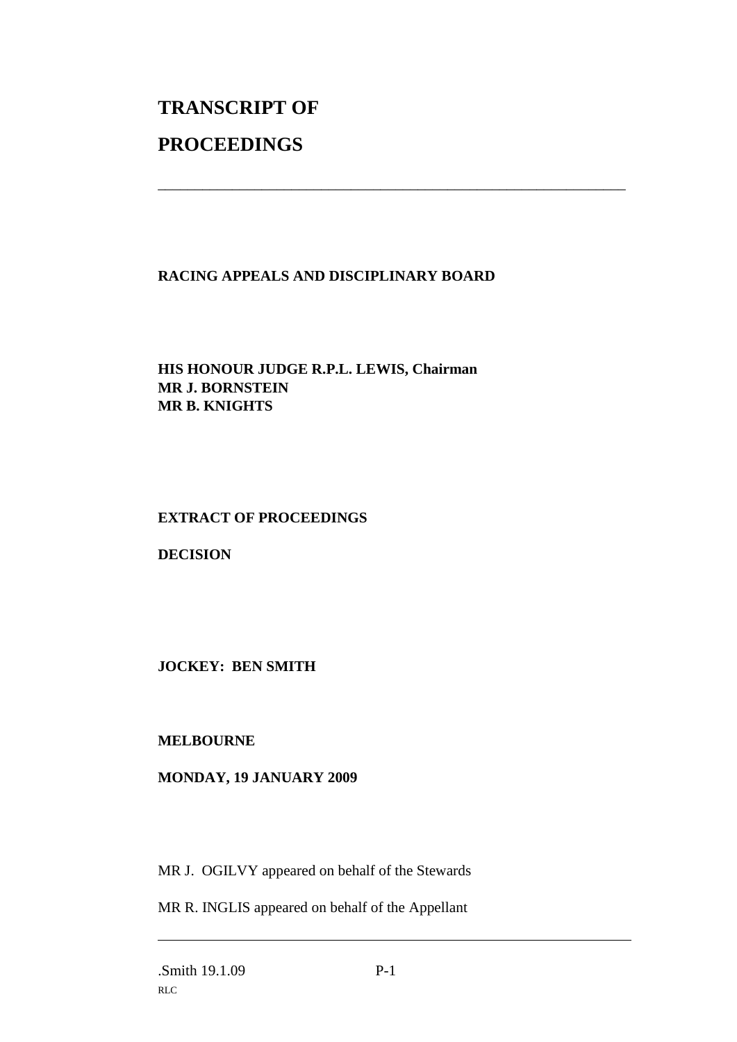# **TRANSCRIPT OF PROCEEDINGS**

#### **RACING APPEALS AND DISCIPLINARY BOARD**

\_\_\_\_\_\_\_\_\_\_\_\_\_\_\_\_\_\_\_\_\_\_\_\_\_\_\_\_\_\_\_\_\_\_\_\_\_\_\_\_\_\_\_\_\_\_\_\_\_\_\_\_\_\_\_\_\_\_\_\_\_\_\_

#### **HIS HONOUR JUDGE R.P.L. LEWIS, Chairman MR J. BORNSTEIN MR B. KNIGHTS**

### **EXTRACT OF PROCEEDINGS**

**DECISION**

**JOCKEY: BEN SMITH**

#### **MELBOURNE**

#### **MONDAY, 19 JANUARY 2009**

MR J. OGILVY appeared on behalf of the Stewards

MR R. INGLIS appeared on behalf of the Appellant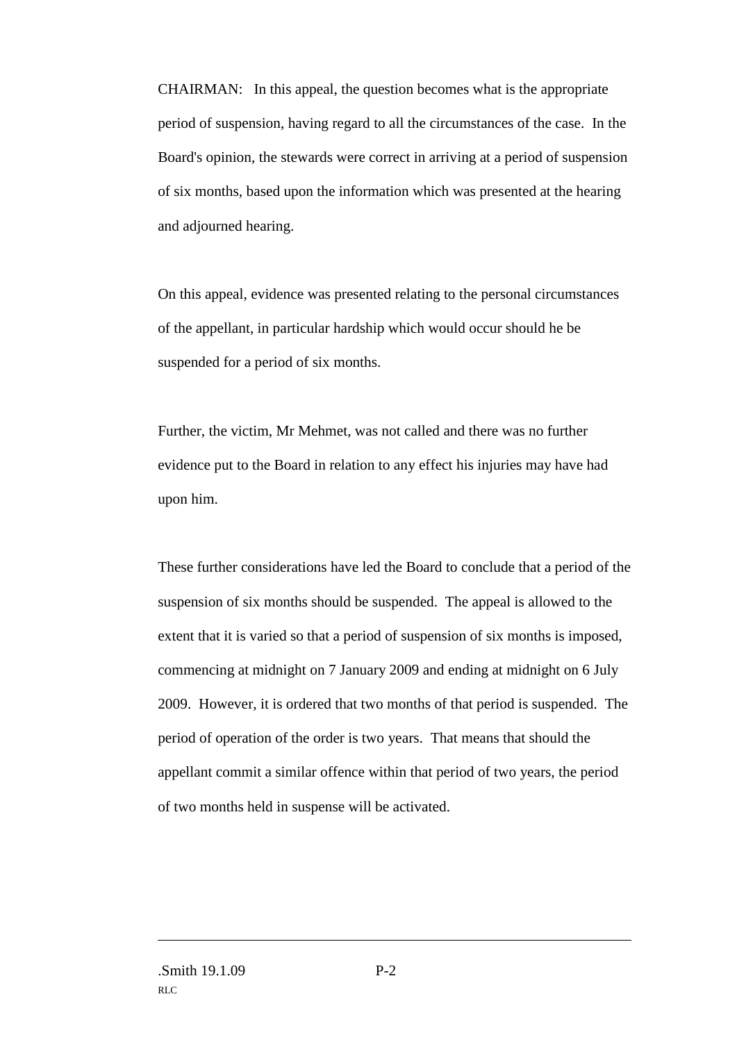CHAIRMAN: In this appeal, the question becomes what is the appropriate period of suspension, having regard to all the circumstances of the case. In the Board's opinion, the stewards were correct in arriving at a period of suspension of six months, based upon the information which was presented at the hearing and adjourned hearing.

On this appeal, evidence was presented relating to the personal circumstances of the appellant, in particular hardship which would occur should he be suspended for a period of six months.

Further, the victim, Mr Mehmet, was not called and there was no further evidence put to the Board in relation to any effect his injuries may have had upon him.

These further considerations have led the Board to conclude that a period of the suspension of six months should be suspended. The appeal is allowed to the extent that it is varied so that a period of suspension of six months is imposed, commencing at midnight on 7 January 2009 and ending at midnight on 6 July 2009. However, it is ordered that two months of that period is suspended. The period of operation of the order is two years. That means that should the appellant commit a similar offence within that period of two years, the period of two months held in suspense will be activated.